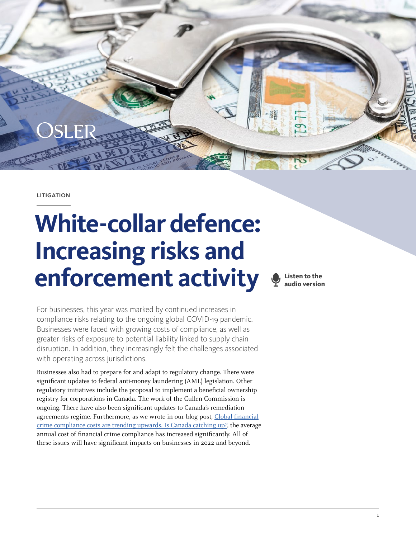

**LITIGATION** 

# **White-collar defence: Increasing risks and enforcement activity**

**Listen to the audio version**

For businesses, this year was marked by continued increases in compliance risks relating to the ongoing global COVID-19 pandemic. Businesses were faced with growing costs of compliance, as well as greater risks of exposure to potential liability linked to supply chain disruption. In addition, they increasingly felt the challenges associated with operating across jurisdictions.

Businesses also had to prepare for and adapt to regulatory change. There were significant updates to federal anti-money laundering (AML) legislation. Other regulatory initiatives include the proposal to implement a beneficial ownership registry for corporations in Canada. The work of the Cullen Commission is ongoing. There have also been significant updates to Canada's remediation agreements regime. Furthermore, as we wrote in our blog post, [Global financial](https://www.osler.com/en/blogs/risk/july-2021/global-financial-crime-compliance-costs-are-trending-upwards-is-canada-catching-up) [crime compliance costs are trending upwards. Is Canada catching up?](https://www.osler.com/en/blogs/risk/july-2021/global-financial-crime-compliance-costs-are-trending-upwards-is-canada-catching-up), the average annual cost of financial crime compliance has increased significantly. All of these issues will have significant impacts on businesses in 2022 and beyond.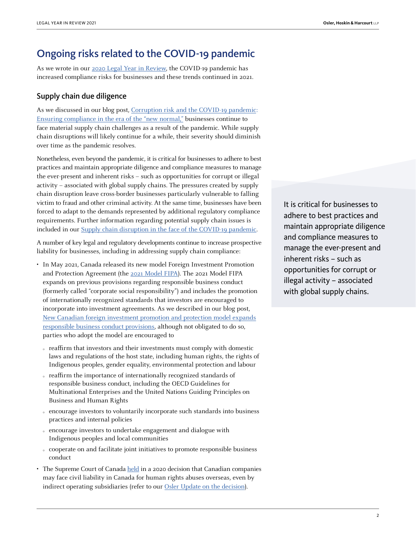## Ongoing risks related to the COVID-19 pandemic

As we wrote in our [2020 Legal Year in Review](https://www.osler.com/en/resources/regulations/2020/evolving-capital-markets-regulatory-enforcement), the COVID-19 pandemic has increased compliance risks for businesses and these trends continued in 2021.

#### Supply chain due diligence

As we discussed in our blog post, [Corruption risk and the COVID-19 pandemic:](https://www.osler.com/en/blogs/risk/may-2020/corruption-risk-and-the-covid-19-pandemic-ensuring-compliance-in-the-era-of-the-new-normal)  [Ensuring compliance in the era of the "new normal,"](https://www.osler.com/en/blogs/risk/may-2020/corruption-risk-and-the-covid-19-pandemic-ensuring-compliance-in-the-era-of-the-new-normal) businesses continue to face material supply chain challenges as a result of the pandemic. While supply chain disruptions will likely continue for a while, their severity should diminish over time as the pandemic resolves.

Nonetheless, even beyond the pandemic, it is critical for businesses to adhere to best practices and maintain appropriate diligence and compliance measures to manage the ever-present and inherent risks – such as opportunities for corrupt or illegal activity – associated with global supply chains. The pressures created by supply chain disruption leave cross-border businesses particularly vulnerable to falling victim to fraud and other criminal activity. At the same time, businesses have been forced to adapt to the demands represented by additional regulatory compliance requirements. Further information regarding potential supply chain issues is included in our [Supply chain disruption in the face of the COVID-19 pandemic](https://legalyearinreview.ca/supply-chain-disruption-in-the-face-of-the-covid-19-pandemic/).

A number of key legal and regulatory developments continue to increase prospective liability for businesses, including in addressing supply chain compliance:

- In May 2021, Canada released its new model Foreign Investment Promotion and Protection Agreement (the [2021 Model FIPA\)](https://www.international.gc.ca/trade-commerce/trade-agreements-accords-commerciaux/agr-acc/fipa-apie/2021_model_fipa-2021_modele_apie.aspx?lang=eng). The 2021 Model FIPA expands on previous provisions regarding responsible business conduct (formerly called "corporate social responsibility") and includes the promotion of internationally recognized standards that investors are encouraged to incorporate into investment agreements. As we described in our blog post, [New Canadian foreign investment promotion and protection model expands](https://www.osler.com/en/blogs/risk/june-2021/new-canadian-foreign-investment-promotion-and-protection-model-expands-responsible-business-conduct) [responsible business conduct provisions](https://www.osler.com/en/blogs/risk/june-2021/new-canadian-foreign-investment-promotion-and-protection-model-expands-responsible-business-conduct), although not obligated to do so, parties who adopt the model are encouraged to
	- { reaffirm that investors and their investments must comply with domestic laws and regulations of the host state, including human rights, the rights of Indigenous peoples, gender equality, environmental protection and labour
	- $\alpha$  reaffirm the importance of internationally recognized standards of responsible business conduct, including the OECD Guidelines for Multinational Enterprises and the United Nations Guiding Principles on Business and Human Rights
	- { encourage investors to voluntarily incorporate such standards into business practices and internal policies
	- { encourage investors to undertake engagement and dialogue with Indigenous peoples and local communities
	- cooperate on and facilitate joint initiatives to promote responsible business conduct
- The Supreme Court of Canada [held](https://scc-csc.lexum.com/scc-csc/scc-csc/en/item/18169/index.do) in a 2020 decision that Canadian companies may face civil liability in Canada for human rights abuses overseas, even by indirect operating subsidiaries (refer to our [Osler Update on the decision](https://www.osler.com/en/resources/governance/2020/supreme-court-of-canada-opens-door-to-liability-for-alleged-human-rights-abuses-abroad)).

It is critical for businesses to adhere to best practices and maintain appropriate diligence and compliance measures to manage the ever-present and inherent risks – such as opportunities for corrupt or illegal activity – associated with global supply chains.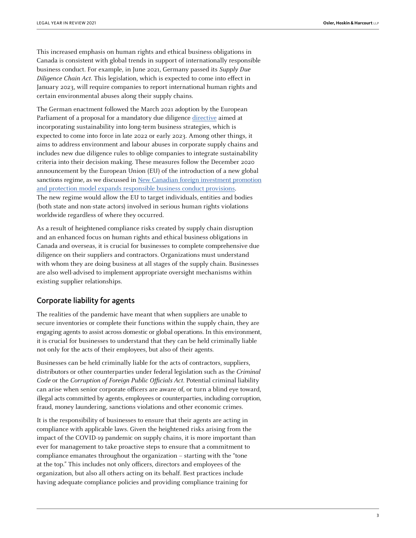This increased emphasis on human rights and ethical business obligations in Canada is consistent with global trends in support of internationally responsible business conduct. For example, in June 2021, Germany passed its Supply Due Diligence Chain Act. This legislation, which is expected to come into effect in January 2023, will require companies to report international human rights and certain environmental abuses along their supply chains.

The German enactment followed the March 2021 adoption by the European Parliament of a proposal for a mandatory due diligence [directive](https://ec.europa.eu/info/law/better-regulation/have-your-say/initiatives/12548-Sustainable-corporate-governance_en) aimed at incorporating sustainability into long-term business strategies, which is expected to come into force in late 2022 or early 2023. Among other things, it aims to address environment and labour abuses in corporate supply chains and includes new due diligence rules to oblige companies to integrate sustainability criteria into their decision making. These measures follow the December 2020 announcement by the European Union (EU) of the introduction of a new global sanctions regime, as we discussed in [New Canadian foreign investment promotion](https://www.osler.com/en/blogs/risk/june-2021/new-canadian-foreign-investment-promotion-and-protection-model-expands-responsible-business-conduct) [and protection model expands responsible business conduct provisions.](https://www.osler.com/en/blogs/risk/june-2021/new-canadian-foreign-investment-promotion-and-protection-model-expands-responsible-business-conduct) The new regime would allow the EU to target individuals, entities and bodies (both state and non-state actors) involved in serious human rights violations worldwide regardless of where they occurred.

As a result of heightened compliance risks created by supply chain disruption and an enhanced focus on human rights and ethical business obligations in Canada and overseas, it is crucial for businesses to complete comprehensive due diligence on their suppliers and contractors. Organizations must understand with whom they are doing business at all stages of the supply chain. Businesses are also well-advised to implement appropriate oversight mechanisms within existing supplier relationships.

#### Corporate liability for agents

The realities of the pandemic have meant that when suppliers are unable to secure inventories or complete their functions within the supply chain, they are engaging agents to assist across domestic or global operations. In this environment, it is crucial for businesses to understand that they can be held criminally liable not only for the acts of their employees, but also of their agents.

Businesses can be held criminally liable for the acts of contractors, suppliers, distributors or other counterparties under federal legislation such as the Criminal Code or the Corruption of Foreign Public Officials Act. Potential criminal liability can arise when senior corporate officers are aware of, or turn a blind eye toward, illegal acts committed by agents, employees or counterparties, including corruption, fraud, money laundering, sanctions violations and other economic crimes.

It is the responsibility of businesses to ensure that their agents are acting in compliance with applicable laws. Given the heightened risks arising from the impact of the COVID-19 pandemic on supply chains, it is more important than ever for management to take proactive steps to ensure that a commitment to compliance emanates throughout the organization – starting with the "tone at the top." This includes not only officers, directors and employees of the organization, but also all others acting on its behalf. Best practices include having adequate compliance policies and providing compliance training for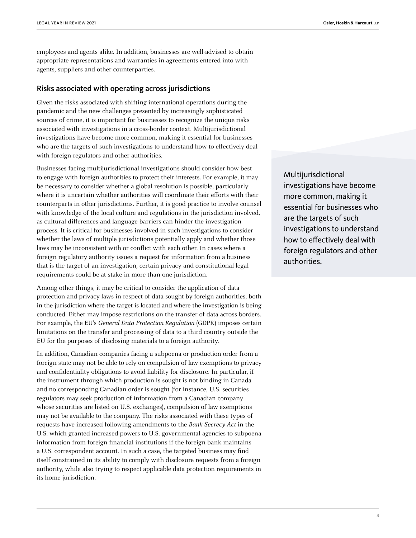employees and agents alike. In addition, businesses are well-advised to obtain appropriate representations and warranties in agreements entered into with agents, suppliers and other counterparties.

#### Risks associated with operating across jurisdictions

Given the risks associated with shifting international operations during the pandemic and the new challenges presented by increasingly sophisticated sources of crime, it is important for businesses to recognize the unique risks associated with investigations in a cross-border context. Multijurisdictional investigations have become more common, making it essential for businesses who are the targets of such investigations to understand how to effectively deal with foreign regulators and other authorities.

Businesses facing multijurisdictional investigations should consider how best to engage with foreign authorities to protect their interests. For example, it may be necessary to consider whether a global resolution is possible, particularly where it is uncertain whether authorities will coordinate their efforts with their counterparts in other jurisdictions. Further, it is good practice to involve counsel with knowledge of the local culture and regulations in the jurisdiction involved, as cultural differences and language barriers can hinder the investigation process. It is critical for businesses involved in such investigations to consider whether the laws of multiple jurisdictions potentially apply and whether those laws may be inconsistent with or conflict with each other. In cases where a foreign regulatory authority issues a request for information from a business that is the target of an investigation, certain privacy and constitutional legal requirements could be at stake in more than one jurisdiction.

Among other things, it may be critical to consider the application of data protection and privacy laws in respect of data sought by foreign authorities, both in the jurisdiction where the target is located and where the investigation is being conducted. Either may impose restrictions on the transfer of data across borders. For example, the EU's General Data Protection Regulation (GDPR) imposes certain limitations on the transfer and processing of data to a third country outside the EU for the purposes of disclosing materials to a foreign authority.

In addition, Canadian companies facing a subpoena or production order from a foreign state may not be able to rely on compulsion of law exemptions to privacy and confidentiality obligations to avoid liability for disclosure. In particular, if the instrument through which production is sought is not binding in Canada and no corresponding Canadian order is sought (for instance, U.S. securities regulators may seek production of information from a Canadian company whose securities are listed on U.S. exchanges), compulsion of law exemptions may not be available to the company. The risks associated with these types of requests have increased following amendments to the Bank Secrecy Act in the U.S. which granted increased powers to U.S. governmental agencies to subpoena information from foreign financial institutions if the foreign bank maintains a U.S. correspondent account. In such a case, the targeted business may find itself constrained in its ability to comply with disclosure requests from a foreign authority, while also trying to respect applicable data protection requirements in its home jurisdiction.

Multijurisdictional investigations have become more common, making it essential for businesses who are the targets of such investigations to understand how to effectively deal with foreign regulators and other authorities.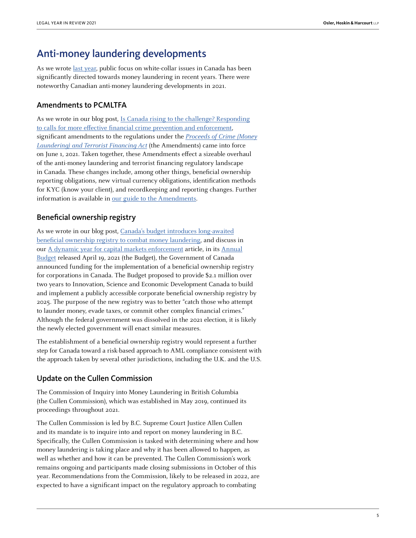## Anti-money laundering developments

As we wrote [last year,](https://www.osler.com/en/resources/regulations/2020/evolving-capital-markets-regulatory-enforcement) public focus on white-collar issues in Canada has been significantly directed towards money laundering in recent years. There were noteworthy Canadian anti-money laundering developments in 2021.

#### Amendments to PCMLTFA

As we wrote in our blog post, [Is Canada rising to the challenge? Responding](https://www.osler.com/en/blogs/risk/may-2021/is-canada-rising-to-the-challenge-responding-to-calls-for-more-effective-financial-crime-prevention) [to calls for more effective financial crime prevention and enforcement](https://www.osler.com/en/blogs/risk/may-2021/is-canada-rising-to-the-challenge-responding-to-calls-for-more-effective-financial-crime-prevention), significant amendments to the regulations under the [Proceeds of Crime \(Money](https://laws-lois.justice.gc.ca/eng/acts/P-24.501/) [Laundering\) and Terrorist Financing Act](https://laws-lois.justice.gc.ca/eng/acts/P-24.501/) (the Amendments) came into force on June 1, 2021. Taken together, these Amendments effect a sizeable overhaul of the anti-money laundering and terrorist financing regulatory landscape in Canada. These changes include, among other things, beneficial ownership reporting obligations, new virtual currency obligations, identification methods for KYC (know your client), and recordkeeping and reporting changes. Further information is available in [our guide to the Amendments.](https://www.osler.com/en/resources/in-focus/anti-money-laundering-in-canada-a-guide-to-the-june-1-2021-changes)

### Beneficial ownership registry

As we wrote in our blog post, [Canada's budget introduces long-awaited](https://www.osler.com/en/blogs/risk/april-2021/canada-s-budget-introduces-long-awaited-beneficial-ownership-registry-to-combat-money-laundering) [beneficial ownership registry to combat money laundering](https://www.osler.com/en/blogs/risk/april-2021/canada-s-budget-introduces-long-awaited-beneficial-ownership-registry-to-combat-money-laundering), and discuss in our [A dynamic year for capital markets enforcement article](https://legalyearinreview.ca/a-dynamic-year-for-capital-markets-enforcement/), in its [Annual](https://www.budget.gc.ca/2021/report-rapport/toc-tdm-en.html) [Budget](https://www.budget.gc.ca/2021/report-rapport/toc-tdm-en.html) released April 19, 2021 (the Budget), the Government of Canada announced funding for the implementation of a beneficial ownership registry for corporations in Canada. The Budget proposed to provide \$2.1 million over two years to Innovation, Science and Economic Development Canada to build and implement a publicly accessible corporate beneficial ownership registry by 2025. The purpose of the new registry was to better "catch those who attempt to launder money, evade taxes, or commit other complex financial crimes." Although the federal government was dissolved in the 2021 election, it is likely the newly elected government will enact similar measures.

The establishment of a beneficial ownership registry would represent a further step for Canada toward a risk-based approach to AML compliance consistent with the approach taken by several other jurisdictions, including the U.K. and the U.S.

#### Update on the Cullen Commission

The Commission of Inquiry into Money Laundering in British Columbia (the Cullen Commission), which was established in May 2019, continued its proceedings throughout 2021.

The Cullen Commission is led by B.C. Supreme Court Justice Allen Cullen and its mandate is to inquire into and report on money laundering in B.C. Specifically, the Cullen Commission is tasked with determining where and how money laundering is taking place and why it has been allowed to happen, as well as whether and how it can be prevented. The Cullen Commission's work remains ongoing and participants made closing submissions in October of this year. Recommendations from the Commission, likely to be released in 2022, are expected to have a significant impact on the regulatory approach to combating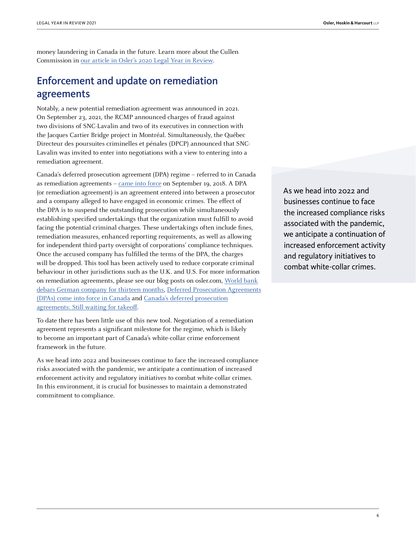money laundering in Canada in the future. Learn more about the Cullen Commission in [our article in Osler's 2020 Legal Year in Review](https://www.osler.com/en/resources/critical-situations/2020/key-developments-in-white-collar-defence
).

## Enforcement and update on remediation agreements

Notably, a new potential remediation agreement was announced in 2021. On September 23, 2021, the RCMP announced charges of fraud against two divisions of SNC-Lavalin and two of its executives in connection with the Jacques Cartier Bridge project in Montréal. Simultaneously, the Québec Directeur des poursuites criminelles et pénales (DPCP) announced that SNC-Lavalin was invited to enter into negotiations with a view to entering into a remediation agreement.

Canada's deferred prosecution agreement (DPA) regime – referred to in Canada as remediation agreements – [came into force](https://www.osler.com/en/blogs/risk/september-2018/deferred-prosecution-agreements-dpas-come-into-force-in-canada) on September 19, 2018. A DPA (or remediation agreement) is an agreement entered into between a prosecutor and a company alleged to have engaged in economic crimes. The effect of the DPA is to suspend the outstanding prosecution while simultaneously establishing specified undertakings that the organization must fulfill to avoid facing the potential criminal charges. These undertakings often include fines, remediation measures, enhanced reporting requirements, as well as allowing for independent third-party oversight of corporations' compliance techniques. Once the accused company has fulfilled the terms of the DPA, the charges will be dropped. This tool has been actively used to reduce corporate criminal behaviour in other jurisdictions such as the U.K. and U.S. For more information on remediation agreements, please see our blog posts on osler.com, [World bank](https://www.osler.com/en/blogs/risk/march-2021/world-bank-debars-german-company-for-thirteen-months) [debars German company for thirteen months](https://www.osler.com/en/blogs/risk/march-2021/world-bank-debars-german-company-for-thirteen-months), [Deferred Prosecution Agreements](https://www.osler.com/en/blogs/risk/september-2018/deferred-prosecution-agreements-dpas-come-into-force-in-canada) [\(DPAs\) come into force in Canada](https://www.osler.com/en/blogs/risk/september-2018/deferred-prosecution-agreements-dpas-come-into-force-in-canada) and [Canada's deferred prosecution](https://www.osler.com/en/resources/regulations/2020/canada-s-deferred-prosecution-agreements-still-waiting-for-takeoff) [agreements: Still waiting for takeoff.](https://www.osler.com/en/resources/regulations/2020/canada-s-deferred-prosecution-agreements-still-waiting-for-takeoff)

To date there has been little use of this new tool. Negotiation of a remediation agreement represents a significant milestone for the regime, which is likely to become an important part of Canada's white-collar crime enforcement framework in the future.

As we head into 2022 and businesses continue to face the increased compliance risks associated with the pandemic, we anticipate a continuation of increased enforcement activity and regulatory initiatives to combat white-collar crimes. In this environment, it is crucial for businesses to maintain a demonstrated commitment to compliance.

As we head into 2022 and businesses continue to face the increased compliance risks associated with the pandemic, we anticipate a continuation of increased enforcement activity and regulatory initiatives to combat white-collar crimes.